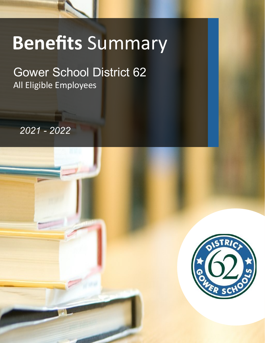# **Benefits** Summary

NOTE: This Benefit Highlights is merely intended to provide a brief overview of Centro's employee benefit programs. Employees should review Centro's current employee handbook and actual *NOTE: This Benefit Summary is a brief synopsis of coverage only. See plan documents for full details. In the event of any inconsistency between* 

*this Summary of Benefits and such documents, the applicable provisions of the plan documents will govern.* 

### Gower School District 62 All Eligible Employees

*2021 - 2022*

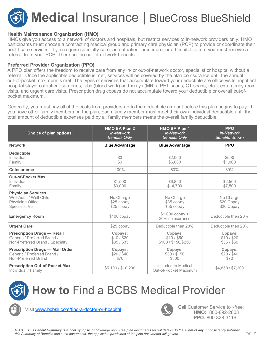

#### **Health Maintenance Organization (HMO)**

HMOs give you access to a network of doctors and hospitals, but restrict services to in-network providers only. HMO participants must choose a contracting medical group and primary care physician (PCP) to provide or coordinate their healthcare services. If you require specialty care, an outpatient procedure, or a hospitalization, you must receive a referral from your PCP. There are no out-of-network benefits.

#### **Preferred Provider Organization (PPO)**

A PPO plan offers the freedom to receive care from any in- or out-of-network doctor, specialist or hospital without a referral. Once the applicable deductible is met, services will be covered by the plan coinsurance until the annual out-of-pocket maximum is met. The types of services that accumulate toward your deductible are office visits, inpatient hospital stays, outpatient surgeries, labs (blood work) and x-rays (MRIs, PET scans, CT scans, etc.), emergency room visits, and urgent care visits. Prescription drug copays do not accumulate toward your deductible or overall out-ofpocket maximum.

Generally, you must pay all of the costs from providers up to the deductible amount before this plan begins to pay. If you have other family members on the plan, each family member must meet their own individual deductible until the total amount of deductible expenses paid by all family members meets the overall family deductible.

| <b>Choice of plan options:</b>                                                                       | <b>HMO BA Plan 2</b><br>In-Network<br><b>Benefits Only</b> | <b>HMO BA Plan 4</b><br>In-Network<br>Benefits Only | <b>PPO</b><br>In-Network<br><b>Benefits Shown</b> |
|------------------------------------------------------------------------------------------------------|------------------------------------------------------------|-----------------------------------------------------|---------------------------------------------------|
| <b>Network</b>                                                                                       | <b>Blue Advantage</b>                                      | <b>Blue Advantage</b>                               | <b>PPO</b>                                        |
| <b>Deductible</b><br>Individual<br>Family                                                            | \$0<br>\$0                                                 | \$2,000<br>\$6,000                                  | \$500<br>\$1,000                                  |
| <b>Coinsurance</b>                                                                                   | 100%                                                       | 80%                                                 | 80%                                               |
| <b>Out-of-Pocket Max</b><br>Individual<br>Family                                                     | \$1,500<br>\$3,000                                         | \$6,850<br>\$14,700                                 | \$2,500<br>\$7,500                                |
| <b>Physician Services</b><br>Well Adult / Well Child<br>Physician Office<br><b>Specialist Visit</b>  | No Charge<br>$$25$ copay<br>$$25$ copay                    | No Charge<br>\$35 copay<br>\$55 copay               | No Charge<br>\$20 Copay<br>\$20 Copay             |
| <b>Emergency Room</b>                                                                                | $$100$ copay                                               | $$1,000$ copay +<br>20% coinsurance                 | Deductible then 20%                               |
| <b>Urgent Care</b>                                                                                   | $$25$ copay                                                | Deductible then 20%                                 | Deductible then 20%                               |
| <b>Prescription Drugs - Retail</b><br>Generic / Preferred Brand /<br>Non-Preferred Brand / Specialty | Copays:<br>\$10/\$20<br>$$35/$ \$35                        | Copays:<br>\$10/\$50<br>\$100 / \$150/\$250         | Copays:<br>\$10/\$20<br>\$35/\$50                 |
| <b>Prescription Drugs - Mail Order</b><br>Generic / Preferred Brand /<br>Non-Preferred Brand         | Copays:<br>\$20/\$40<br>\$70                               | Copays:<br>\$30/\$150<br>\$300                      | Copays:<br>\$20/\$40<br>\$70                      |
| <b>Prescription Out-of-Pocket Max</b><br>Individual / Family                                         | \$5,100 / \$10,200                                         | Included in Medical<br>Out-of-Pocket Maximum        | \$4,850 / \$7,200                                 |



## **How to** Find a BCBS Medical Provider



The Visit [www.bcbsil.com/find](https://www.bcbsil.com/find-a-doctor-or-hospital)-a-doctor-or-hospital Call Customer Service toll-free:



**HMO:** 800-892-2803 **PPO:** 800-828-3116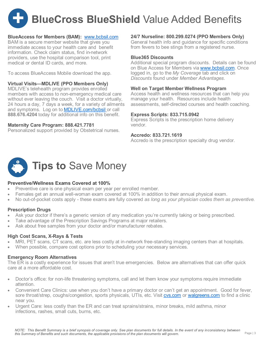

#### **BlueAccess for Members (BAM):** [www.bcbsil.com](http://www.bcbsil.com)

BAM is a secure member website that gives you immediate access to your health care and benefit information. Check claim status, find in-network providers, use the hospital comparison tool, print medical or dental ID cards, and more.

To access BlueAccess Mobile download the app.

#### **Virtual Visits—MDLIVE (PPO Members Only)**

MDLIVE's telehealth program provides enrolled members with access to non-emergency medical care without ever leaving the couch. Visit a doctor virtually, 24 hours a day, 7 days a week, for a variety of ailments and symptoms. Log on to [MDLIVE.com/bcbsil](https://members.mdlive.com/bcbsil/landing_home) or call **888.676.4204** today for additional info on this benefit.

#### **Maternity Care Program: 888.421.7781**

Personalized support provided by Obstetrical nurses.

#### **24/7 Nurseline: 800.299.0274 (PPO Members Only)**

General health info and guidance for specific conditions from fevers to bee stings from a registered nurse.

#### **Blue365 Discounts**

Additional special program discounts. Details can be found on Blue Access for Members via [www.bcbsil.com.](http://www.bcbsil.com) Once logged in, go to the *My Coverage* tab and click on *Discounts* found under *Member Advantages*.

#### **Well on Target Member Wellness Program**

Access health and wellness resources that can help you manage your health. Resources include health assessments, self-directed courses and health coaching.

#### **Express Scripts: 833.715.0942**

Express Scripts is the prescription home delivery vendor.

#### **Accredo: 833.721.1619**

Accredo is the prescription specialty drug vendor.



#### **Preventive/Wellness Exams Covered at 100%**

- Preventive care is one physical exam per year per enrolled member.
- Females get an annual well-woman exam covered at 100% in addition to their annual physical exam.
- No out-of-pocket costs apply these exams are fully covered *as long as your physician codes them as preventive.*

#### **Prescription Drugs**

- Ask your doctor if there's a generic version of any medication you're currently taking or being prescribed.
- Take advantage of the Prescription Savings Programs at major retailers.
- Ask about free samples from your doctor and/or manufacturer rebates.

#### **High Cost Scans, X-Rays & Tests**

- MRI, PET scans, CT scans, etc. are less costly at in-network free-standing imaging centers than at hospitals.
- When possible, compare cost options prior to scheduling your necessary services.

#### **Emergency Room Alternatives**

The ER is a costly experience for issues that aren't true emergencies. Below are alternatives that can offer quick care at a more affordable cost.

- Doctor's office: for non-life threatening symptoms, call and let them know your symptoms require immediate attention.
- Convenient Care Clinics: use when you don't have a primary doctor or can't get an appointment. Good for fever, sore throat/strep, coughs/congestion, sports physicals, UTIs, etc. Visit [cvs.com](http://www.cvs.com/) or [walgreens.com](http://www.walgreens.com/) to find a clinic near you.
- Urgent Care: less costly than the ER and can treat sprains/strains, minor breaks, mild asthma, minor infections, rashes, small cuts, burns, etc.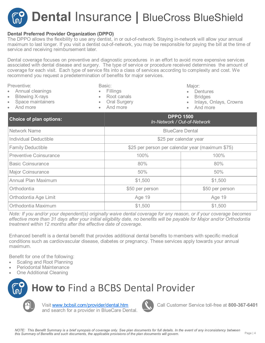

#### **Dental Preferred Provider Organization (DPPO)**

The DPPO allows the flexibility to use any dentist, in or out-of-network. Staying in-network will allow your annual maximum to last longer. If you visit a dentist out-of-network, you may be responsible for paying the bill at the time of service and receiving reimbursement later.

Dental coverage focuses on preventive and diagnostic procedures in an effort to avoid more expensive services associated with dental disease and surgery. The type of service or procedure received determines the amount of coverage for each visit. Each type of service fits into a class of services according to complexity and cost. We recommend you request a predetermination of benefits for major services.

| Preventive:<br>Annual cleanings<br>$\bullet$<br><b>Bitewing X-rays</b><br>$\bullet$<br>Space maintainers<br>$\bullet$<br>And more | Basic:<br>Fillings<br>Root canals<br>Oral Surgery<br>$\bullet$<br>And more | Major:<br>Dentures<br><b>Bridges</b><br>Inlays, Onlays, Crowns<br>And more |  |  |
|-----------------------------------------------------------------------------------------------------------------------------------|----------------------------------------------------------------------------|----------------------------------------------------------------------------|--|--|
| <b>Choice of plan options:</b>                                                                                                    |                                                                            | <b>DPPO 1500</b><br>In-Network / Out-of-Network                            |  |  |
| <b>Network Name</b>                                                                                                               |                                                                            | <b>BlueCare Dental</b>                                                     |  |  |
| <b>Individual Deductible</b>                                                                                                      |                                                                            | \$25 per calendar year                                                     |  |  |
| <b>Family Deductible</b>                                                                                                          |                                                                            | \$25 per person per calendar year (maximum \$75)                           |  |  |
| <b>Preventive Coinsurance</b>                                                                                                     | 100%                                                                       | 100%                                                                       |  |  |
| <b>Basic Coinsurance</b>                                                                                                          | 80%                                                                        | 80%                                                                        |  |  |
| <b>Major Coinsurance</b>                                                                                                          | 50%                                                                        | 50%                                                                        |  |  |
| <b>Annual Plan Maximum</b>                                                                                                        | \$1,500                                                                    | \$1,500                                                                    |  |  |
| Orthodontia                                                                                                                       | \$50 per person                                                            | \$50 per person                                                            |  |  |
| Orthodontia Age Limit                                                                                                             | Age 19                                                                     | Age 19                                                                     |  |  |
| Orthodontia Maximum                                                                                                               | \$1,500                                                                    | \$1,500                                                                    |  |  |

*Note: If you and/or your dependent(s) originally waive dental coverage for any reason, or if your coverage becomes effective more than 31 days after your initial eligibility date, no benefits will be payable for Major and/or Orthodontia treatment within 12 months after the effective date of coverage.*

Enhanced benefit is a dental benefit that provides additional dental benefits to members with specific medical conditions such as cardiovascular disease, diabetes or pregnancy. These services apply towards your annual maximum.

Benefit for one of the following:

- Scaling and Root Planning
- Periodontal Maintenance
- **One Additional Cleaning**



**How to** Find a BCBS Dental Provider

Visit [www.bcbsil.com/provider/dental.htm](https://www.bcbsil.com/providers/dental.htm) and search for a provider in BlueCare Dental.



Call Customer Service toll-free at **800-367-6401**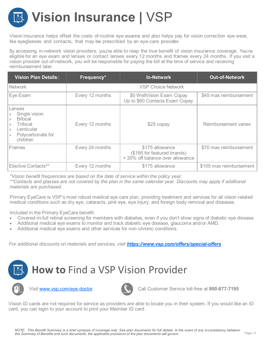# **Vision Insurance |** VSP

Vision insurance helps offset the costs of routine eye exams and also helps pay for vision correction eye wear, like eyeglasses and contacts, that may be prescribed by an eye-care provider.

By accessing in-network vision providers, you're able to reap the true benefit of vision insurance coverage. You're eligible for an eye exam and lenses or contact lenses every 12 months and frames every 24 months. If you visit a vision provider out-of-network, you will be responsible for paying the bill at the time of service and receiving reimbursement later.

| <b>Vision Plan Details:</b>                                                                                                                                           | Frequency*      | <b>In-Network</b>                                                                  | <b>Out-of-Network</b>   |
|-----------------------------------------------------------------------------------------------------------------------------------------------------------------------|-----------------|------------------------------------------------------------------------------------|-------------------------|
| <b>Network</b>                                                                                                                                                        |                 | <b>VSP Choice Network</b>                                                          |                         |
| Eye Exam                                                                                                                                                              | Every 12 months | \$0 WellVision Exam Copay<br>Up to \$60 Contacts Exam Copay                        | \$45 max reimbursement  |
| Lenses<br>Single vision<br>$\rangle$<br><b>Bifocal</b><br>$\rangle$<br>Trifocal<br>$\rangle$<br>Lenticular<br>$\rangle$<br>Polycarbonate for<br>$\rangle$<br>children | Every 12 months | \$25 copay                                                                         | Reimbursement varies    |
| <b>Frames</b>                                                                                                                                                         | Every 24 months | \$175 allowance<br>(\$195 for featured brands)<br>+ 20% off balance over allowance | \$70 max reimbursement  |
| <b>Elective Contacts**</b>                                                                                                                                            | Every 12 months | \$175 allowance                                                                    | \$105 max reimbursement |

*\*Vision benefit frequencies are based on the date of service within the policy year.*

*\*\*Contacts and glasses are not covered by the plan in the same calendar year. Discounts may apply if additional materials are purchased.* 

Primary EyeCare is VSP's most robust medical eye care plan, providing treatment and services for all vision-related medical conditions such as dry eye, cataracts, pink eye, eye injury, and foreign body removal and diseases.

Included in the Primary EyeCare benefit:

- Covered-in-full retinal screening for members with diabetes, even if you don't show signs of diabetic eye disease.
- Additional medical eye exams to monitor and track diabetic eye disease, glaucoma and/or AMD.
- Additional medical eye exams and other services for non-chronic conditions.

*For additional discounts on materials and services, visit [https://www.vsp.com/offers/special](https://www.vsp.com/offers/special-offers)-offers*







Visit **www.vsp.com/eye-doctor** Call Customer Service toll-free at **800-877-7195** 

Vision ID cards are not required for service as providers are able to locate you in their system. If you would like an ID card, you can login to your account to print your Member ID card.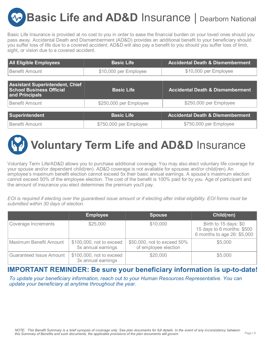**Basic Life and AD&D Insurance | Dearborn National** 

Basic Life Insurance is provided at no cost to you in order to ease the financial burden on your loved ones should you pass away. Accidental Death and Dismemberment (AD&D) provides an additional benefit to your beneficiary should you suffer loss of life due to a covered accident; AD&D will also pay a benefit to you should you suffer loss of limb, sight, or vision due to a covered accident.

| <b>All Eligible Employees</b>                                                               | <b>Basic Life</b>      | <b>Accidental Death &amp; Dismemberment</b> |
|---------------------------------------------------------------------------------------------|------------------------|---------------------------------------------|
| Benefit Amount                                                                              | \$10,000 per Employee  | \$10,000 per Employee                       |
|                                                                                             |                        |                                             |
| <b>Assistant Superintendent, Chief</b><br><b>School Business Official</b><br>and Principals | <b>Basic Life</b>      | <b>Accidental Death &amp; Dismemberment</b> |
| Benefit Amount                                                                              | \$250,000 per Employee | \$250,000 per Employee                      |
|                                                                                             |                        |                                             |
| Superintendent                                                                              | <b>Basic Life</b>      | <b>Accidental Death &amp; Dismemberment</b> |
| Benefit Amount                                                                              | \$750,000 per Employee | \$750,000 per Employee                      |



Voluntary Term Life/AD&D allows you to purchase additional coverage. You may also elect voluntary life coverage for your spouse and/or dependent child(ren). AD&D coverage is not available for spouses and/or child(ren). An employee's maximum benefit election cannot exceed 5x their basic annual earnings. A spouse's maximum election cannot exceed 50% of the employee election. The cost of the benefit is 100% paid for by you. Age of participant and the amount of insurance you elect determines the premium you'll pay.

*EOI is required if electing over the guaranteed issue amount or if electing after initial eligibility. EOI forms must be submitted within 30 days of election.*

|                                | <b>Employee</b>                                | <b>Spouse</b>                                       | Child(ren)                                                                         |
|--------------------------------|------------------------------------------------|-----------------------------------------------------|------------------------------------------------------------------------------------|
| Coverage Increments            | \$25,000                                       | \$10,000                                            | Birth to 15 days: \$0<br>15 days to 6 months: \$500<br>6 months to age 26: \$5,000 |
| Maximum Benefit Amount         | \$100,000, not to exceed<br>5x annual earnings | \$50,000, not to exceed 50%<br>of employee election | \$5,000                                                                            |
| <b>Guaranteed Issue Amount</b> | \$100,000, not to exceed<br>3x annual earnings | \$20,000                                            | \$5,000                                                                            |

#### **IMPORTANT REMINDER: Be sure your beneficiary information is up-to-date!**

*To update your beneficiary information, reach out to your Human Resources Representative. You can update your beneficiary at anytime throughout the year.*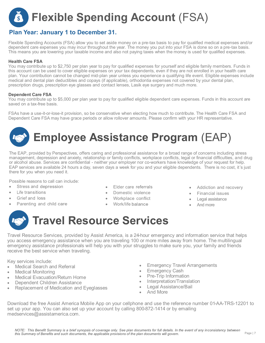## **Flexible Spending Account** (FSA)

#### **Plan Year: January 1 to December 31.**

Flexible Spending Accounts (FSA) allow you to set aside money on a pre-tax basis to pay for qualified medical expenses and/or dependent care expenses you may incur throughout the year. The money you put into your FSA is done so on a pre-tax basis. This means you are lowering your taxable income and also not paying taxes when the money is used for qualified expenses.

#### **Health Care FSA**

You may contribute up to \$2,750 per plan year to pay for qualified expenses for yourself and eligible family members. Funds in this account can be used to cover eligible expenses on your tax dependents, even if they are not enrolled in your health care plan. Your contribution cannot be changed mid-plan year unless you experience a qualifying life event. Eligible expenses include medical and dental plan deductibles and copays (if applicable), orthodontia expenses not covered by your dental plan, prescription drugs, prescription eye glasses and contact lenses, Lasik eye surgery and much more.

#### **Dependent Care FSA**

You may contribute up to \$5,000 per plan year to pay for qualified eligible dependent care expenses. Funds in this account are saved on a tax-free basis.

FSAs have a use-it-or-lose-it provision, so be conservative when electing how much to contribute. The Health Care FSA and Dependent Care FSA may have grace periods or allow rollover amounts. Please confirm with your HR representative.

## **Employee Assistance Program** (EAP)

The EAP, provided by Perspectives, offers caring and professional assistance for a broad range of concerns including stress management, depression and anxiety, relationship or family conflicts, workplace conflicts, legal or financial difficulties, and drug or alcohol abuse. Services are confidential - neither your employer nor co-workers have knowledge of your request for help. EAP services are available 24 hours a day, seven days a week for you and your eligible dependents. There is no cost, it's just there for you when you need it.

Possible reasons to call can include:

- Stress and depression
- Life transitions •
- **Grief and loss**
- Parenting and child care
- Elder care referrals
- Domestic violence
- Workplace conflict
- Work/life balance
- Addiction and recovery
- Financial issues
- Legal assistance
- And more

### **Travel Resource Services**

Travel Resource Services, provided by Assist America, is a 24-hour emergency and information service that helps you access emergency assistance when you are traveling 100 or more miles away from home. The multilingual emergency assistance professionals will help you with your struggles to make sure you, your family and friends receive the best service when traveling.

Key services include:

- Medical Search and Referral
- Medical Monitoring
- Medical Evacuation/Return Home
- Dependent Children Assistance
- Replacement of Medication and Eyeglasses
- **Emergency Travel Arrangements**
- **Emergency Cash**
- Pre-Trip Information
- Interpretation/Translation
- Legal Assistance/Bail
- And More

Download the free Assist America Mobile App on your cellphone and use the reference number 01-AA-TRS-12201 to set up your app. You can also set up your account by calling 800-872-1414 or by emailing medservices@assistamerica.com.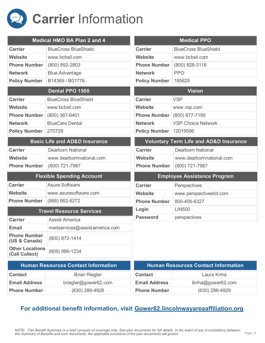

|                                          | <b>Medical HMO BA Plan 2 and 4</b>       |                      | <b>Medical PPO</b>                                |
|------------------------------------------|------------------------------------------|----------------------|---------------------------------------------------|
| <b>Carrier</b>                           | <b>BlueCross BlueShield</b>              | <b>Carrier</b>       | <b>BlueCross BlueShield</b>                       |
| <b>Website</b>                           | www.bcbsil.com                           | <b>Website</b>       | www.bcbsil.com                                    |
| <b>Phone Number</b>                      | (800) 892-2803                           | <b>Phone Number</b>  | $(800)$ 828-3116                                  |
| <b>Network</b>                           | <b>Blue Advantage</b>                    | <b>Network</b>       | <b>PPO</b>                                        |
| <b>Policy Number</b>                     | B14369 / B01776                          | <b>Policy Number</b> | 165625                                            |
|                                          | Dental PPO 1500                          |                      | <b>Vision</b>                                     |
| <b>Carrier</b>                           | <b>BlueCross BlueShield</b>              | <b>Carrier</b>       | <b>VSP</b>                                        |
| <b>Website</b>                           | www.bcbsil.com                           | <b>Website</b>       | www.vsp.com                                       |
| <b>Phone Number</b>                      | (800) 367-6401                           | <b>Phone Number</b>  | (800) 877-7195                                    |
| <b>Network</b>                           | <b>BlueCare Dental</b>                   | <b>Network</b>       | <b>VSP Choice Network</b>                         |
| <b>Policy Number</b>                     | 270729                                   | <b>Policy Number</b> | 12019596                                          |
|                                          | <b>Basic Life and AD&amp;D Insurance</b> |                      | <b>Voluntary Term Life and AD&amp;D Insurance</b> |
| <b>Carrier</b>                           | <b>Dearborn National</b>                 | <b>Carrier</b>       | <b>Dearborn National</b>                          |
| Website                                  | www.dearbornnational.com                 | <b>Website</b>       | www.dearbornnational.com                          |
| <b>Phone Number</b>                      | (800) 721-7987                           | <b>Phone Number</b>  | (800) 721-7987                                    |
|                                          | <b>Flexible Spending Account</b>         |                      | <b>Employee Assistance Program</b>                |
| <b>Carrier</b>                           | <b>Asure Software</b>                    | <b>Carrier</b>       | Perspectives                                      |
| <b>Website</b>                           | www.asuresoftware.com                    | <b>Website</b>       | www.perspectivesItd.com                           |
| <b>Phone Number</b>                      | (888) 862-6272                           | <b>Phone Number</b>  | 800-456-6327                                      |
|                                          | <b>Travel Resource Services</b>          | Login                | <b>LIN500</b>                                     |
| <b>Carrier</b>                           | <b>Assist America</b>                    | <b>Password</b>      | perspectives                                      |
| <b>Email</b>                             | medservices@assistamerica.com            |                      |                                                   |
| <b>Phone Number</b><br>(US & Canada)     | (800) 872-1414                           |                      |                                                   |
| <b>Other Locations</b><br>(Call Collect) | (609) 986-1234                           |                      |                                                   |
|                                          | Human Recourses Contast Information      |                      | Human Recourses Contast Information               |

| <b>Human Resources Contact Information</b> |                      | <b>Human Resources Contact Information</b> |                    |
|--------------------------------------------|----------------------|--------------------------------------------|--------------------|
| <b>Contact</b>                             | <b>Brian Riegler</b> | <b>Contact</b>                             | Laura Kriha        |
| <b>Email Address</b>                       | briegler@gower62.com | <b>Email Address</b>                       | lkriha@gower62.com |
| <b>Phone Number</b>                        | (630) 286-4926       | <b>Phone Number</b>                        | $(630)$ 286-4929   |

#### **For additional benefit information, visit Gower62.lincolnwayareaaffiliation.org**